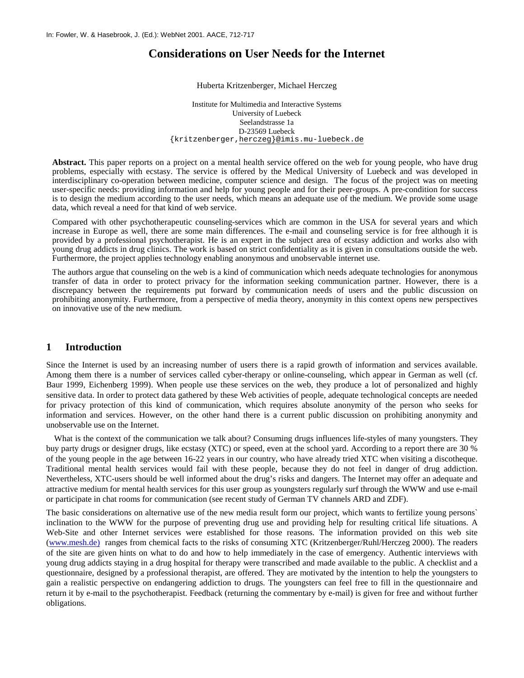# **Considerations on User Needs for the Internet**

#### Huberta Kritzenberger, Michael Herczeg

Institute for Multimedia and Interactive Systems University of Luebeck Seelandstrasse 1a D-23569 Luebeck {kritzenberger[,herczeg}@imis.mu-luebeck.de](mailto:herczeg%7d@imis.mu-luebeck.de)

**Abstract.** This paper reports on a project on a mental health service offered on the web for young people, who have drug problems, especially with ecstasy. The service is offered by the Medical University of Luebeck and was developed in interdisciplinary co-operation between medicine, computer science and design. The focus of the project was on meeting user-specific needs: providing information and help for young people and for their peer-groups. A pre-condition for success is to design the medium according to the user needs, which means an adequate use of the medium. We provide some usage data, which reveal a need for that kind of web service.

Compared with other psychotherapeutic counseling-services which are common in the USA for several years and which increase in Europe as well, there are some main differences. The e-mail and counseling service is for free although it is provided by a professional psychotherapist. He is an expert in the subject area of ecstasy addiction and works also with young drug addicts in drug clinics. The work is based on strict confidentiality as it is given in consultations outside the web. Furthermore, the project applies technology enabling anonymous and unobservable internet use.

The authors argue that counseling on the web is a kind of communication which needs adequate technologies for anonymous transfer of data in order to protect privacy for the information seeking communication partner. However, there is a discrepancy between the requirements put forward by communication needs of users and the public discussion on prohibiting anonymity. Furthermore, from a perspective of media theory, anonymity in this context opens new perspectives on innovative use of the new medium.

# **1 Introduction**

Since the Internet is used by an increasing number of users there is a rapid growth of information and services available. Among them there is a number of services called cyber-therapy or online-counseling, which appear in German as well (cf. Baur 1999, Eichenberg 1999). When people use these services on the web, they produce a lot of personalized and highly sensitive data. In order to protect data gathered by these Web activities of people, adequate technological concepts are needed for privacy protection of this kind of communication, which requires absolute anonymity of the person who seeks for information and services. However, on the other hand there is a current public discussion on prohibiting anonymity and unobservable use on the Internet.

What is the context of the communication we talk about? Consuming drugs influences life-styles of many youngsters. They buy party drugs or designer drugs, like ecstasy (XTC) or speed, even at the school yard. According to a report there are 30 % of the young people in the age between 16-22 years in our country, who have already tried XTC when visiting a discotheque. Traditional mental health services would fail with these people, because they do not feel in danger of drug addiction. Nevertheless, XTC-users should be well informed about the drug's risks and dangers. The Internet may offer an adequate and attractive medium for mental health services for this user group as youngsters regularly surf through the WWW and use e-mail or participate in chat rooms for communication (see recent study of German TV channels ARD and ZDF).

The basic considerations on alternative use of the new media result form our project, which wants to fertilize young persons` inclination to the WWW for the purpose of preventing drug use and providing help for resulting critical life situations. A Web-Site and other Internet services were established for those reasons. The information provided on this web site [\(www.mesh.de\)](http://www.mesh.de)/) ranges from chemical facts to the risks of consuming XTC (Kritzenberger/Ruhl/Herczeg 2000). The readers of the site are given hints on what to do and how to help immediately in the case of emergency. Authentic interviews with young drug addicts staying in a drug hospital for therapy were transcribed and made available to the public. A checklist and a questionnaire, designed by a professional therapist, are offered. They are motivated by the intention to help the youngsters to gain a realistic perspective on endangering addiction to drugs. The youngsters can feel free to fill in the questionnaire and return it by e-mail to the psychotherapist. Feedback (returning the commentary by e-mail) is given for free and without further obligations.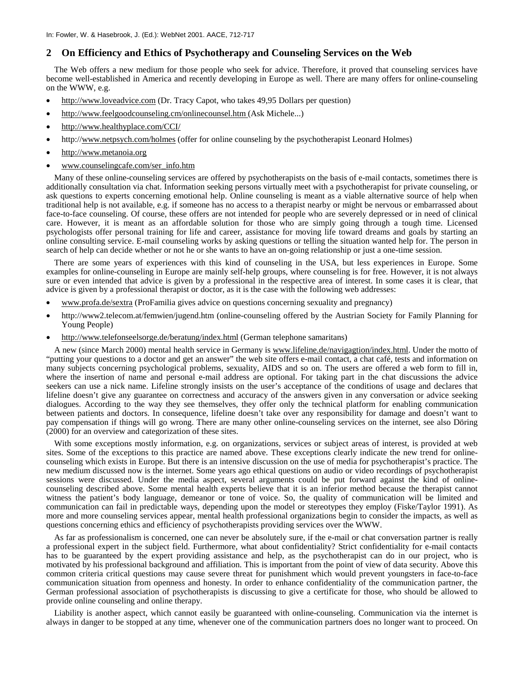#### **2 On Efficiency and Ethics of Psychotherapy and Counseling Services on the Web**

The Web offers a new medium for those people who seek for advice. Therefore, it proved that counseling services have become well-established in America and recently developing in Europe as well. There are many offers for online-counseling on the WWW, e.g.

- http:[//www.loveadvic](http://www.loveadvi/)e.com (Dr. Tracy Capot, who takes 49,95 Dollars per question)
- [http://www.feelgoodcounseling.cm/onlinecounsel.htm](http://www.feelgoodcounseling.com/onlinecounsel.htm) (Ask Michele...)
- <http://www.healthyplace.com/CCI/>
- http://www.netpsych.com/holmes (offer for online counseling by the psychotherapist Leonard Holmes)
- [http://www.metanoia.org](http://www.metanoia.org/)
- www.counselingcafe.com/ser\_info.htm

Many of these online-counseling services are offered by psychotherapists on the basis of e-mail contacts, sometimes there is additionally consultation via chat. Information seeking persons virtually meet with a psychotherapist for private counseling, or ask questions to experts concerning emotional help. Online counseling is meant as a viable alternative source of help when traditional help is not available, e.g. if someone has no access to a therapist nearby or might be nervous or embarrassed about face-to-face counseling. Of course, these offers are not intended for people who are severely depressed or in need of clinical care. However, it is meant as an affordable solution for those who are simply going through a tough time. Licensed psychologists offer personal training for life and career, assistance for moving life toward dreams and goals by starting an online consulting service. E-mail counseling works by asking questions or telling the situation wanted help for. The person in search of help can decide whether or not he or she wants to have an on-going relationship or just a one-time session.

There are some years of experiences with this kind of counseling in the USA, but less experiences in Europe. Some examples for online-counseling in Europe are mainly self-help groups, where counseling is for free. However, it is not always sure or even intended that advice is given by a professional in the respective area of interest. In some cases it is clear, that advice is given by a professional therapist or doctor, as it is the case with the following web addresses:

- www.profa.de/sextra (ProFamilia gives advice on questions concerning sexuality and pregnancy)
- http://www2.telecom.at/femwien/jugend.htm (online-counseling offered by the Austrian Society for Family Planning for Young People)
- http://www.telefonseelsorge.de/beratung/index.html (German telephone samaritans)

A new (since March 2000) mental health service in Germany is www.lifeline.de/navigagtion/index.html. Under the motto of "putting your questions to a doctor and get an answer" the web site offers e-mail contact, a chat café, tests and information on many subjects concerning psychological problems, sexuality, AIDS and so on. The users are offered a web form to fill in, where the insertion of name and personal e-mail address are optional. For taking part in the chat discussions the advice seekers can use a nick name. Lifeline strongly insists on the user's acceptance of the conditions of usage and declares that lifeline doesn't give any guarantee on correctness and accuracy of the answers given in any conversation or advice seeking dialogues. According to the way they see themselves, they offer only the technical platform for enabling communication between patients and doctors. In consequence, lifeline doesn't take over any responsibility for damage and doesn't want to pay compensation if things will go wrong. There are many other online-counseling services on the internet, see also Döring (2000) for an overview and categorization of these sites.

With some exceptions mostly information, e.g. on organizations, services or subject areas of interest, is provided at web sites. Some of the exceptions to this practice are named above. These exceptions clearly indicate the new trend for onlinecounseling which exists in Europe. But there is an intensive discussion on the use of media for psychotherapist's practice. The new medium discussed now is the internet. Some years ago ethical questions on audio or video recordings of psychotherapist sessions were discussed. Under the media aspect, several arguments could be put forward against the kind of onlinecounseling described above. Some mental health experts believe that it is an inferior method because the therapist cannot witness the patient's body language, demeanor or tone of voice. So, the quality of communication will be limited and communication can fail in predictable ways, depending upon the model or stereotypes they employ (Fiske/Taylor 1991). As more and more counseling services appear, mental health professional organizations begin to consider the impacts, as well as questions concerning ethics and efficiency of psychotherapists providing services over the WWW.

As far as professionalism is concerned, one can never be absolutely sure, if the e-mail or chat conversation partner is really a professional expert in the subject field. Furthermore, what about confidentiality? Strict confidentiality for e-mail contacts has to be guaranteed by the expert providing assistance and help, as the psychotherapist can do in our project, who is motivated by his professional background and affiliation. This is important from the point of view of data security. Above this common criteria critical questions may cause severe threat for punishment which would prevent youngsters in face-to-face communication situation from openness and honesty. In order to enhance confidentiality of the communication partner, the German professional association of psychotherapists is discussing to give a certificate for those, who should be allowed to provide online counseling and online therapy.

Liability is another aspect, which cannot easily be guaranteed with online-counseling. Communication via the internet is always in danger to be stopped at any time, whenever one of the communication partners does no longer want to proceed. On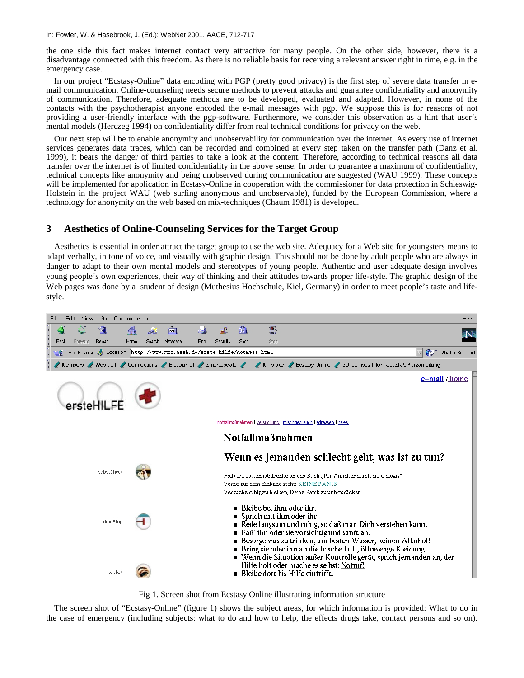In: Fowler, W. & Hasebrook, J. (Ed.): WebNet 2001. AACE, 712-717

the one side this fact makes internet contact very attractive for many people. On the other side, however, there is a disadvantage connected with this freedom. As there is no reliable basis for receiving a relevant answer right in time, e.g. in the emergency case.

In our project "Ecstasy-Online" data encoding with PGP (pretty good privacy) is the first step of severe data transfer in email communication. Online-counseling needs secure methods to prevent attacks and guarantee confidentiality and anonymity of communication. Therefore, adequate methods are to be developed, evaluated and adapted. However, in none of the contacts with the psychotherapist anyone encoded the e-mail messages with pgp. We suppose this is for reasons of not providing a user-friendly interface with the pgp-software. Furthermore, we consider this observation as a hint that user's mental models (Herczeg 1994) on confidentiality differ from real technical conditions for privacy on the web.

Our next step will be to enable anonymity and unobservability for communication over the internet. As every use of internet services generates data traces, which can be recorded and combined at every step taken on the transfer path (Danz et al. 1999), it bears the danger of third parties to take a look at the content. Therefore, according to technical reasons all data transfer over the internet is of limited confidentiality in the above sense. In order to guarantee a maximum of confidentiality, technical concepts like anonymity and being unobserved during communication are suggested (WAU 1999). These concepts will be implemented for application in Ecstasy-Online in cooperation with the commissioner for data protection in Schleswig-Holstein in the project WAU (web surfing anonymous and unobservable), funded by the European Commission, where a technology for anonymity on the web based on mix-techniques (Chaum 1981) is developed.

### **3 Aesthetics of Online-Counseling Services for the Target Group**

Aesthetics is essential in order attract the target group to use the web site. Adequacy for a Web site for youngsters means to adapt verbally, in tone of voice, and visually with graphic design. This should not be done by adult people who are always in danger to adapt to their own mental models and stereotypes of young people. Authentic and user adequate design involves young people's own experiences, their way of thinking and their attitudes towards proper life-style. The graphic design of the Web pages was done by a student of design (Muthesius Hochschule, Kiel, Germany) in order to meet people's taste and lifestyle.



Fig 1. Screen shot from Ecstasy Online illustrating information structure

The screen shot of "Ecstasy-Online" (figure 1) shows the subject areas, for which information is provided: What to do in the case of emergency (including subjects: what to do and how to help, the effects drugs take, contact persons and so on).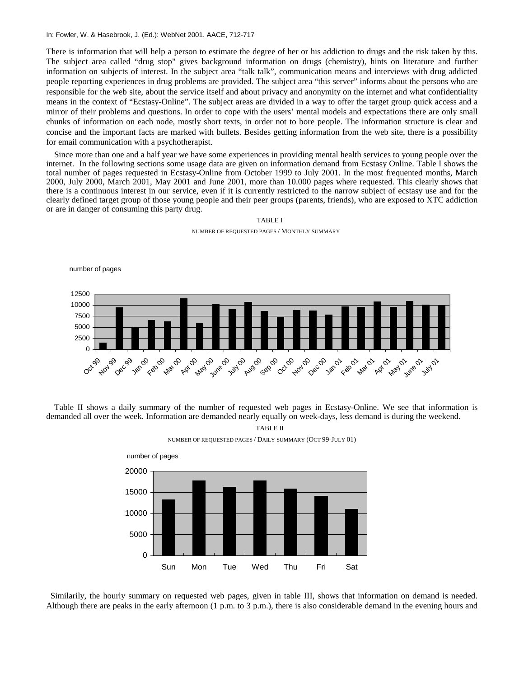#### In: Fowler, W. & Hasebrook, J. (Ed.): WebNet 2001. AACE, 712-717

There is information that will help a person to estimate the degree of her or his addiction to drugs and the risk taken by this. The subject area called "drug stop" gives background information on drugs (chemistry), hints on literature and further information on subjects of interest. In the subject area "talk talk", communication means and interviews with drug addicted people reporting experiences in drug problems are provided. The subject area "this server" informs about the persons who are responsible for the web site, about the service itself and about privacy and anonymity on the internet and what confidentiality means in the context of "Ecstasy-Online". The subject areas are divided in a way to offer the target group quick access and a mirror of their problems and questions. In order to cope with the users' mental models and expectations there are only small chunks of information on each node, mostly short texts, in order not to bore people. The information structure is clear and concise and the important facts are marked with bullets. Besides getting information from the web site, there is a possibility for email communication with a psychotherapist.

Since more than one and a half year we have some experiences in providing mental health services to young people over the internet. In the following sections some usage data are given on information demand from Ecstasy Online. Table I shows the total number of pages requested in Ecstasy-Online from October 1999 to July 2001. In the most frequented months, March 2000, July 2000, March 2001, May 2001 and June 2001, more than 10.000 pages where requested. This clearly shows that there is a continuous interest in our service, even if it is currently restricted to the narrow subject of ecstasy use and for the clearly defined target group of those young people and their peer groups (parents, friends), who are exposed to XTC addiction or are in danger of consuming this party drug.



NUMBER OF REQUESTED PAGES / MONTHLY SUMMARY

TABLE I

Table II shows a daily summary of the number of requested web pages in Ecstasy-Online. We see that information is demanded all over the week. Information are demanded nearly equally on week-days, less demand is during the weekend. TABLE II



NUMBER OF REQUESTED PAGES / DAILY SUMMARY (OCT 99-JULY 01)

 Similarily, the hourly summary on requested web pages, given in table III, shows that information on demand is needed. Although there are peaks in the early afternoon  $(1 \text{ p.m. to } 3 \text{ p.m.})$ , there is also considerable demand in the evening hours and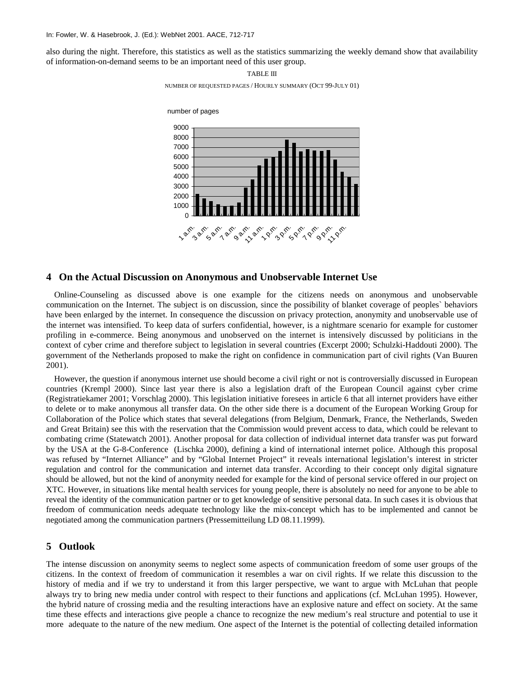also during the night. Therefore, this statistics as well as the statistics summarizing the weekly demand show that availability of information-on-demand seems to be an important need of this user group.



## **4 On the Actual Discussion on Anonymous and Unobservable Internet Use**

Online-Counseling as discussed above is one example for the citizens needs on anonymous and unobservable communication on the Internet. The subject is on discussion, since the possibility of blanket coverage of peoples` behaviors have been enlarged by the internet. In consequence the discussion on privacy protection, anonymity and unobservable use of the internet was intensified. To keep data of surfers confidential, however, is a nightmare scenario for example for customer profiling in e-commerce. Being anonymous and unobserved on the internet is intensively discussed by politicians in the context of cyber crime and therefore subject to legislation in several countries (Excerpt 2000; Schulzki-Haddouti 2000). The government of the Netherlands proposed to make the right on confidence in communication part of civil rights (Van Buuren 2001).

However, the question if anonymous internet use should become a civil right or not is controversially discussed in European countries (Krempl 2000). Since last year there is also a legislation draft of the European Council against cyber crime (Registratiekamer 2001; Vorschlag 2000). This legislation initiative foresees in article 6 that all internet providers have either to delete or to make anonymous all transfer data. On the other side there is a document of the European Working Group for Collaboration of the Police which states that several delegations (from Belgium, Denmark, France, the Netherlands, Sweden and Great Britain) see this with the reservation that the Commission would prevent access to data, which could be relevant to combating crime (Statewatch 2001). Another proposal for data collection of individual internet data transfer was put forward by the USA at the G-8-Conference (Lischka 2000), defining a kind of international internet police. Although this proposal was refused by "Internet Alliance" and by "Global Internet Project" it reveals international legislation's interest in stricter regulation and control for the communication and internet data transfer. According to their concept only digital signature should be allowed, but not the kind of anonymity needed for example for the kind of personal service offered in our project on XTC. However, in situations like mental health services for young people, there is absolutely no need for anyone to be able to reveal the identity of the communication partner or to get knowledge of sensitive personal data. In such cases it is obvious that freedom of communication needs adequate technology like the mix-concept which has to be implemented and cannot be negotiated among the communication partners (Pressemitteilung LD 08.11.1999).

## **5 Outlook**

The intense discussion on anonymity seems to neglect some aspects of communication freedom of some user groups of the citizens. In the context of freedom of communication it resembles a war on civil rights. If we relate this discussion to the history of media and if we try to understand it from this larger perspective, we want to argue with McLuhan that people always try to bring new media under control with respect to their functions and applications (cf. McLuhan 1995). However, the hybrid nature of crossing media and the resulting interactions have an explosive nature and effect on society. At the same time these effects and interactions give people a chance to recognize the new medium's real structure and potential to use it more adequate to the nature of the new medium. One aspect of the Internet is the potential of collecting detailed information